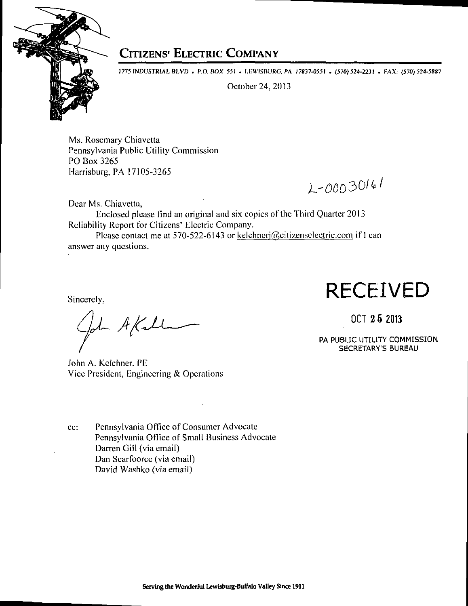

### **CITIZENS<sup>***'***</sup> ELECTRIC COMPANY</sub>**

1775 INDUSTRIAL BLVD . P.O. BOX 551 . LEWISBURG, PA 17837-0551 . (570) 524-2231 . FAX: (570) 524-5887

October 24,2013

Ms. Rosemary Chiavetta Pennsylvania Public Utility Commission PO Box 3265 Harrisburg, PA 17105-3265

Dear Ms. Chiavetta.

Enclosed please find an original and six copies of the Third Quarter 2013 Reliability Report for Citizens' Electric Company.

Please contact me at 570-522-6143 or kelchnerj@citizenselectric.com if I can answer any questions.

John A Kahl

John A. Kelehner, PE Vice President. Engineering & Operations

ec: Pennsylvania Office of Consumer Advocate Pennsylvania Office of Small Business Advocate Darren Gill (via email) Dan Searfoorce (via email) David Washko (via email)

## Sincerely, **RECEIVED**

 $2-00030161$ 

OCT 2 5 2013

PA PUBLIC UTILITY COMMISSION SECRETARY'S BUREAU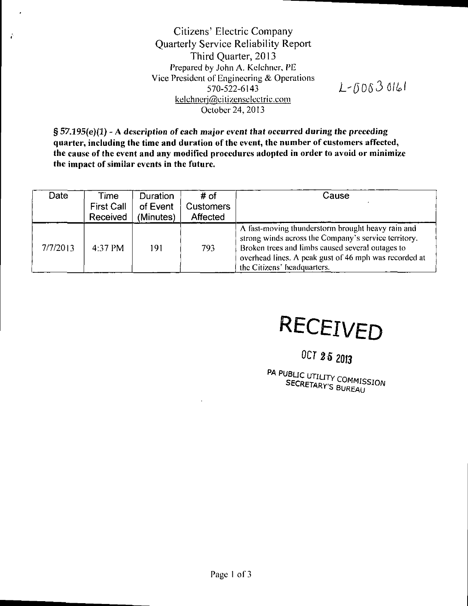Citizens' Electric Company Quarterly Service Reliability Report Third Quarter, 2013 Prepared by John A. Kelchner, PE Vice President of Engineering & Operations 570-522-6143 kelchnerj@citizenselectric.com October 24, 2013

 $\bullet$ 

 $\hat{r}$ 

 $L - 00030161$ 

**§ 57.195(e)(1) - A description of each major event that occurred during the preceding quarter, including the time and duration of the event, the number of customers affected, the cause of the event and any modified procedures adopted in order to avoid or minimize the impact of similar events in the future.** 

| Date     | Time<br><b>First Call</b><br>Received | <b>Duration</b><br>of Event<br>(Minutes) | # of<br><b>Customers</b><br>Affected | Cause                                                                                                                                                                                                                                                 |
|----------|---------------------------------------|------------------------------------------|--------------------------------------|-------------------------------------------------------------------------------------------------------------------------------------------------------------------------------------------------------------------------------------------------------|
| 7/7/2013 | 4:37 PM                               | 191                                      | 793                                  | A fast-moving thunderstorm brought heavy rain and<br>strong winds across the Company's service territory.<br>Broken trees and limbs caused several outages to<br>overhead lines. A peak gust of 46 mph was recorded at<br>the Citizens' headquarters. |

# **RECEIVED**

### **OCf 2 5 2013**

PA PUBLIC UTILITY COMMISSION<br>SECRETARY'S BUREAU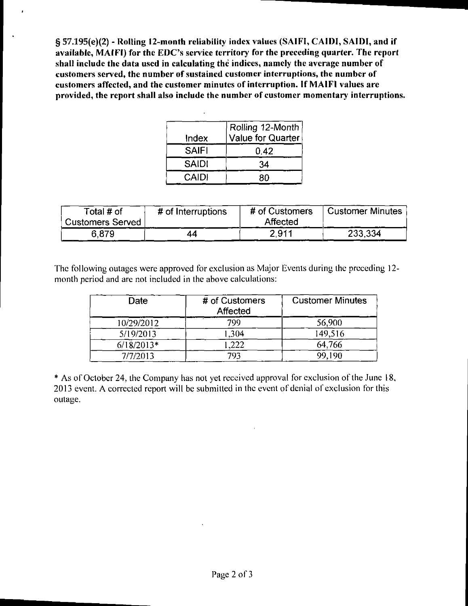**§ 57.195(e)(2) - Rolling 12-month reliability index values (SAIFI, CAIDI, SAIDI, and if**  available, MAIFI) for the EDC's service territory for the preceding quarter. The report **shall include the data used in calculating the indices, namely the average number of customers served, the number of sustained customer interruptions, the number of customers affected, and the customer minutes of interruption. If MAIFI values are provided, the report shall also include the number of customer momentary interruptions.** 

| Index        | Rolling 12-Month<br>Value for Quarter |  |  |
|--------------|---------------------------------------|--|--|
| <b>SAIFI</b> | 0.42                                  |  |  |
| <b>SAIDI</b> | 34                                    |  |  |
| <b>CAIDI</b> | RΛ                                    |  |  |

| Total # of<br><b>Customers Served</b> | # of Interruptions | # of Customers<br>Affected | <b>Customer Minutes</b> |
|---------------------------------------|--------------------|----------------------------|-------------------------|
| 6.879                                 | 44                 | 2.911                      | 233,334                 |

The following outages were approved for exclusion as Major Events during the preceding 12 month period and are not included in the above calculations:

| Date         | # of Customers<br>Affected | <b>Customer Minutes</b> |
|--------------|----------------------------|-------------------------|
| 10/29/2012   | 799                        | 56,900                  |
| 5/19/2013    | 1.304                      | 149,516                 |
| $6/18/2013*$ | .222                       | 64,766                  |
| 7/7/2013     | 793                        | 99,190                  |

\* As of October 24, the Company has not yet received approval for exclusion of the June 18, 2013 event. A corrected report will be submitted in the event of denial of exclusion for this outage.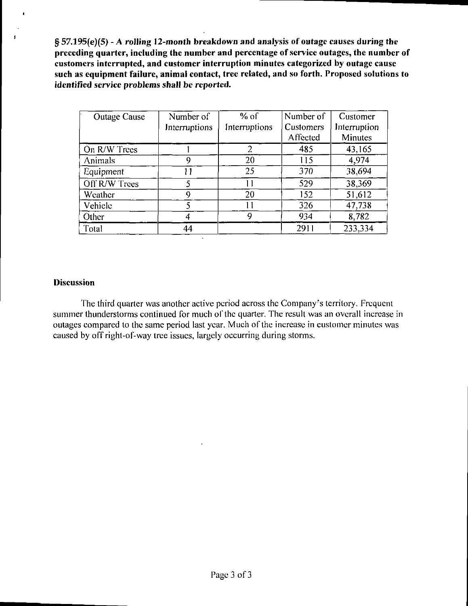**§ 57.195(e)(5) - A rolling 12-month breakdown and analysis of outage causes during the preceding quarter, including the number and percentage of service outages, the number of customers interrupted, and customer interruption minutes categorized by outage cause such as equipment failure, animal contact, tree related, and so forth. Proposed solutions to identified service problems shall be reported.** 

| <b>Outage Cause</b> | Number of     | $%$ of        | Number of | Customer     |
|---------------------|---------------|---------------|-----------|--------------|
|                     | Interruptions | Interruptions | Customers | Interruption |
|                     |               |               | Affected  | Minutes      |
| On R/W Trees        |               | 2             | 485       | 43,165       |
| <b>Animals</b>      | 9             | 20            | 115       | 4.974        |
| Equipment           | 11            | 25            | 370       | 38,694       |
| Off R/W Trees       |               |               | 529       | 38,369       |
| Weather             | 9             | 20            | 152       | 51,612       |
| Vehicle             | ٢             |               | 326       | 47,738       |
| Other               |               | Q             | 934       | 8,782        |
| Total               | 44            |               | 2911      | 233,334      |

### **Discussion**

The third quarter was another active period across the Company's territory. Frequent summer thunderstorms continued for much of the quarter. The result was an overall increase in outages compared to the same period last year. Much of the increase in customer minutes was caused by off right-of-way tree issues, largely occurring during storms.